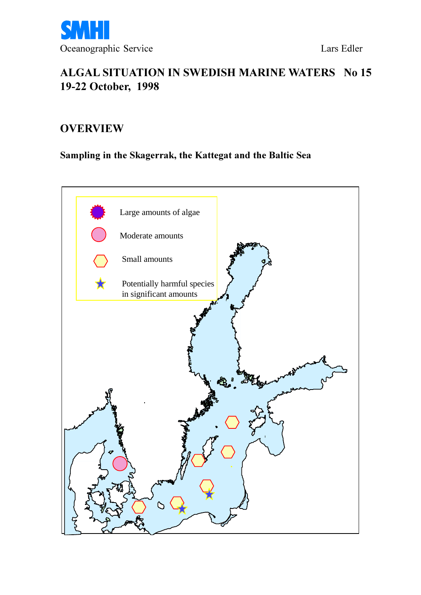

# ALGAL SITUATION IN SWEDISH MARINE WATERS No 15 19-22 October, 1998

# **OVERVIEW**

## Sampling in the Skagerrak, the Kattegat and the Baltic Sea

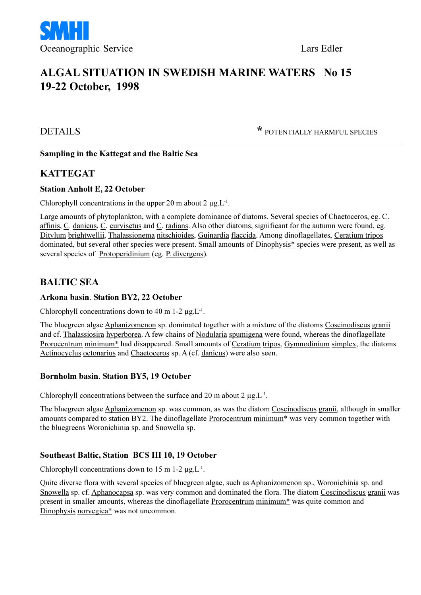

# ALGAL SITUATION IN SWEDISH MARINE WATERS No 15 19-22 October, 1998

**DETAILS \*** POTENTIALLY HARMFUL SPECIES

## Sampling in the Kattegat and the Baltic Sea

## **KATTEGAT**

## Station Anholt E, 22 October

Chlorophyll concentrations in the upper 20 m about 2  $\mu$ g.L<sup>-1</sup>.

Large amounts of phytoplankton, with a complete dominance of diatoms. Several species of Chaetoceros, eg. C. affinis, C. danicus, C. curvisetus and C. radians. Also other diatoms, significant for the autumn were found, eg. Ditylum brightwellii, Thalassionema nitschioides, Guinardia flaccida. Among dinoflagellates, Ceratium tripos dominated, but several other species were present. Small amounts of Dinophysis\* species were present, as well as several species of <u>Protoperidinium</u> (eg. P. divergens).

## BALTIC SEA

#### Arkona basin. Station BY2, 22 October

Chlorophyll concentrations down to 40 m 1-2  $\mu$ g.L<sup>-1</sup>.

The bluegreen algae Aphanizomenon sp. dominated together with a mixture of the diatoms Coscinodiscus granii and cf. Thalassiosira hyperborea. A few chains of Nodularia spumigena were found, whereas the dinoflagellate Prorocentrum minimum<sup>\*</sup> had disappeared. Small amounts of Ceratium tripos, Gymnodinium simplex, the diatoms Actinocyclus octonarius and Chaetoceros sp. A (cf. danicus) were also seen.

#### Bornholm basin. Station BY5, 19 October

Chlorophyll concentrations between the surface and 20 m about 2  $\mu$ g.L<sup>-1</sup>.

The bluegreen algae Aphanizomenon sp. was common, as was the diatom Coscinodiscus granii, although in smaller amounts compared to station BY2. The dinoflagellate Prorocentrum minimum\* was very common together with the bluegreens Woronichinia sp. and Snowella sp.

## Southeast Baltic, Station BCS III 10, 19 October

Chlorophyll concentrations down to 15 m 1-2  $\mu$ g.L<sup>-1</sup>.

Quite diverse flora with several species of bluegreen algae, such as Aphanizomenon sp., Woronichinia sp. and Snowella sp. cf. Aphanocapsa sp. was very common and dominated the flora. The diatom Coscinodiscus granii was present in smaller amounts, whereas the dinoflagellate Prorocentrum minimum\* was quite common and Dinophysis norvegica\* was not uncommon.